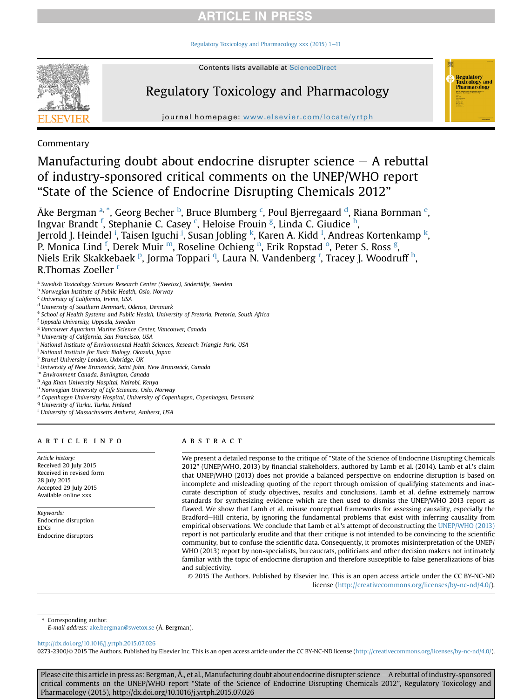[Regulatory Toxicology and Pharmacology xxx \(2015\) 1](http://dx.doi.org/10.1016/j.yrtph.2015.07.026)-[11](http://dx.doi.org/10.1016/j.yrtph.2015.07.026)



# Regulatory Toxicology and Pharmacology



journal homepage: <www.elsevier.com/locate/yrtph>

Commentary

Manufacturing doubt about endocrine disrupter science  $-$  A rebuttal of industry-sponsored critical comments on the UNEP/WHO report "State of the Science of Endocrine Disrupting Chemicals 2012"

Åke Bergman <sup>a, \*</sup>, Georg Becher <sup>b</sup>, Bruce Blumberg <sup>c</sup>, Poul Bjerregaard <sup>d</sup>, Riana Bornman <sup>e</sup>, Ingvar Brandt <sup>f</sup>, Stephanie C. Casey <sup>c</sup>, Heloise Frouin <sup>g</sup>, Linda C. Giudice <sup>h</sup>, Jerrold J. Heindel <sup>i</sup>, Taisen Iguchi <sup>j</sup>, Susan Jobling <sup>k</sup>, Karen A. Kidd <sup>l</sup>, Andreas Kortenkamp <sup>k</sup>, P. Monica Lind <sup>f</sup>, Derek Muir <sup>m</sup>, Roseline Ochieng <sup>n</sup>, Erik Ropstad <sup>o</sup>, Peter S. Ross <sup>g</sup>, Niels Erik Skakkebaek <sup>p</sup>, Jorma Toppari <sup>q</sup>, Laura N. Vandenberg <sup>r</sup>, Tracey J. Woodruff <sup>h</sup>, R.Thomas Zoeller <sup>r</sup>

<sup>a</sup> Swedish Toxicology Sciences Research Center (Swetox), Södertälje, Sweden

- <sup>b</sup> Norwegian Institute of Public Health, Oslo, Norway
- <sup>c</sup> University of California, Irvine, USA
- <sup>d</sup> University of Southern Denmark, Odense, Denmark
- <sup>e</sup> School of Health Systems and Public Health, University of Pretoria, Pretoria, South Africa
- <sup>f</sup> Uppsala University, Uppsala, Sweden
- <sup>g</sup> Vancouver Aquarium Marine Science Center, Vancouver, Canada
- <sup>h</sup> University of California, San Francisco, USA
- <sup>i</sup> National Institute of Environmental Health Sciences, Research Triangle Park, USA
- <sup>j</sup> National Institute for Basic Biology, Okazaki, Japan
- <sup>k</sup> Brunel University London, Uxbridge, UK
- <sup>1</sup> University of New Brunswick, Saint John, New Brunswick, Canada
- <sup>m</sup> Environment Canada, Burlington, Canada
- <sup>n</sup> Aga Khan University Hospital, Nairobi, Kenya
- <sup>o</sup> Norwegian University of Life Sciences, Oslo, Norway
- <sup>p</sup> Copenhagen University Hospital, University of Copenhagen, Copenhagen, Denmark
- <sup>q</sup> University of Turku, Turku, Finland
- <sup>r</sup> University of Massachusetts Amherst, Amherst, USA

#### article info

Article history: Received 20 July 2015 Received in revised form 28 July 2015 Accepted 29 July 2015 Available online xxx

Keywords: Endocrine disruption EDCs Endocrine disruptors

### ABSTRACT

We present a detailed response to the critique of "State of the Science of Endocrine Disrupting Chemicals 2012" (UNEP/WHO, 2013) by financial stakeholders, authored by Lamb et al. (2014). Lamb et al.'s claim that UNEP/WHO (2013) does not provide a balanced perspective on endocrine disruption is based on incomplete and misleading quoting of the report through omission of qualifying statements and inaccurate description of study objectives, results and conclusions. Lamb et al. define extremely narrow standards for synthesizing evidence which are then used to dismiss the UNEP/WHO 2013 report as flawed. We show that Lamb et al. misuse conceptual frameworks for assessing causality, especially the Bradford–Hill criteria, by ignoring the fundamental problems that exist with inferring causality from empirical observations. We conclude that Lamb et al.'s attempt of deconstructing the [UNEP/WHO \(2013\)](#page-10-0) report is not particularly erudite and that their critique is not intended to be convincing to the scientific community, but to confuse the scientific data. Consequently, it promotes misinterpretation of the UNEP/ WHO (2013) report by non-specialists, bureaucrats, politicians and other decision makers not intimately familiar with the topic of endocrine disruption and therefore susceptible to false generalizations of bias and subjectivity.

© 2015 The Authors. Published by Elsevier Inc. This is an open access article under the CC BY-NC-ND license [\(http://creativecommons.org/licenses/by-nc-nd/4.0/](http://creativecommons.org/licenses/by-nc-nd/4.�0/)).

Corresponding author.

E-mail address: [ake.bergman@swetox.se](mailto:ake.bergman@swetox.se) (Å. Bergman).

<http://dx.doi.org/10.1016/j.yrtph.2015.07.026>

0273-2300/© 2015 The Authors. Published by Elsevier Inc. This is an open access article under the CC BY-NC-ND license ([http://creativecommons.org/licenses/by-nc-nd/4.0/\)](http://creativecommons.org/licenses/by-nc-nd/4.�0/).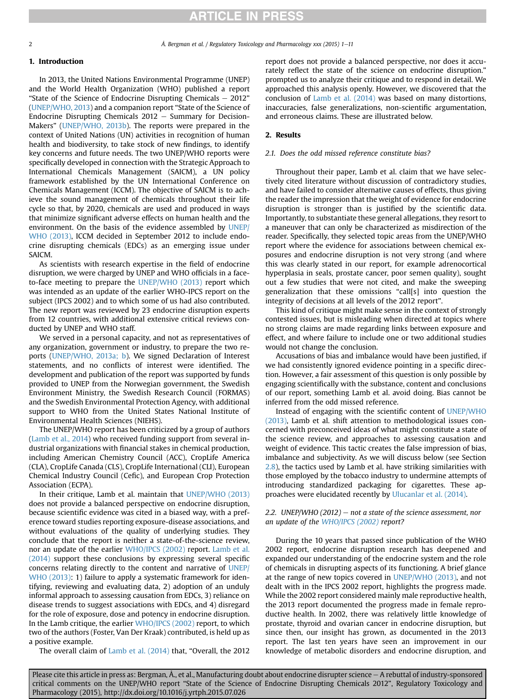2 **A. Bergman et al. / Regulatory Toxicology and Pharmacology xxx (2015) 1-11** 

report does not provide a balanced perspective, nor does it accurately reflect the state of the science on endocrine disruption." prompted us to analyze their critique and to respond in detail. We approached this analysis openly. However, we discovered that the conclusion of [Lamb et al. \(2014\)](#page-10-0) was based on many distortions, inaccuracies, false generalizations, non-scientific argumentation, and erroneous claims. These are illustrated below.

### 2. Results

#### 2.1. Does the odd missed reference constitute bias?

Throughout their paper, Lamb et al. claim that we have selectively cited literature without discussion of contradictory studies, and have failed to consider alternative causes of effects, thus giving the reader the impression that the weight of evidence for endocrine disruption is stronger than is justified by the scientific data. Importantly, to substantiate these general allegations, they resort to a maneuver that can only be characterized as misdirection of the reader. Specifically, they selected topic areas from the UNEP/WHO report where the evidence for associations between chemical exposures and endocrine disruption is not very strong (and where this was clearly stated in our report, for example adrenocortical hyperplasia in seals, prostate cancer, poor semen quality), sought out a few studies that were not cited, and make the sweeping generalization that these omissions "call[s] into question the integrity of decisions at all levels of the 2012 report".

This kind of critique might make sense in the context of strongly contested issues, but is misleading when directed at topics where no strong claims are made regarding links between exposure and effect, and where failure to include one or two additional studies would not change the conclusion.

Accusations of bias and imbalance would have been justified, if we had consistently ignored evidence pointing in a specific direction. However, a fair assessment of this question is only possible by engaging scientifically with the substance, content and conclusions of our report, something Lamb et al. avoid doing. Bias cannot be inferred from the odd missed reference.

Instead of engaging with the scientific content of [UNEP/WHO](#page-10-0) [\(2013\)](#page-10-0), Lamb et al. shift attention to methodological issues concerned with preconceived ideas of what might constitute a state of the science review, and approaches to assessing causation and weight of evidence. This tactic creates the false impression of bias, imbalance and subjectivity. As we will discuss below (see Section [2.8](#page-8-0)), the tactics used by Lamb et al. have striking similarities with those employed by the tobacco industry to undermine attempts of introducing standardized packaging for cigarettes. These approaches were elucidated recently by [Ulucanlar et al. \(2014\).](#page-10-0)

#### 2.2. UNEP/WHO (2012) – not a state of the science assessment, nor an update of the [WHO/IPCS \(2002\)](#page-10-0) report?

During the 10 years that passed since publication of the WHO 2002 report, endocrine disruption research has deepened and expanded our understanding of the endocrine system and the role of chemicals in disrupting aspects of its functioning. A brief glance at the range of new topics covered in [UNEP/WHO \(2013\),](#page-10-0) and not dealt with in the IPCS 2002 report, highlights the progress made. While the 2002 report considered mainly male reproductive health, the 2013 report documented the progress made in female reproductive health. In 2002, there was relatively little knowledge of prostate, thyroid and ovarian cancer in endocrine disruption, but since then, our insight has grown, as documented in the 2013 report. The last ten years have seen an improvement in our knowledge of metabolic disorders and endocrine disruption, and

#### 1. Introduction

In 2013, the United Nations Environmental Programme (UNEP) and the World Health Organization (WHO) published a report "State of the Science of Endocrine Disrupting Chemicals  $-2012$ " ([UNEP/WHO, 2013](#page-10-0)) and a companion report "State of the Science of Endocrine Disrupting Chemicals  $2012 -$  Summary for Decision-Makers" ([UNEP/WHO, 2013b\)](#page-10-0). The reports were prepared in the context of United Nations (UN) activities in recognition of human health and biodiversity, to take stock of new findings, to identify key concerns and future needs. The two UNEP/WHO reports were specifically developed in connection with the Strategic Approach to International Chemicals Management (SAICM), a UN policy framework established by the UN International Conference on Chemicals Management (ICCM). The objective of SAICM is to achieve the sound management of chemicals throughout their life cycle so that, by 2020, chemicals are used and produced in ways that minimize significant adverse effects on human health and the environment. On the basis of the evidence assembled by [UNEP/](#page-10-0) [WHO \(2013\)](#page-10-0), ICCM decided in September 2012 to include endocrine disrupting chemicals (EDCs) as an emerging issue under SAICM.

As scientists with research expertise in the field of endocrine disruption, we were charged by UNEP and WHO officials in a faceto-face meeting to prepare the [UNEP/WHO \(2013\)](#page-10-0) report which was intended as an update of the earlier WHO-IPCS report on the subject (IPCS 2002) and to which some of us had also contributed. The new report was reviewed by 23 endocrine disruption experts from 12 countries, with additional extensive critical reviews conducted by UNEP and WHO staff.

We served in a personal capacity, and not as representatives of any organization, government or industry, to prepare the two reports [\(UNEP/WHO, 2013a; b](#page-10-0)). We signed Declaration of Interest statements, and no conflicts of interest were identified. The development and publication of the report was supported by funds provided to UNEP from the Norwegian government, the Swedish Environment Ministry, the Swedish Research Council (FORMAS) and the Swedish Environmental Protection Agency, with additional support to WHO from the United States National Institute of Environmental Health Sciences (NIEHS).

The UNEP/WHO report has been criticized by a group of authors ([Lamb et al., 2014](#page-10-0)) who received funding support from several industrial organizations with financial stakes in chemical production, including American Chemistry Council (ACC), CropLife America (CLA), CropLife Canada (CLS), CropLife International (CLI), European Chemical Industry Council (Cefic), and European Crop Protection Association (ECPA).

In their critique, Lamb et al. maintain that [UNEP/WHO \(2013\)](#page-10-0) does not provide a balanced perspective on endocrine disruption, because scientific evidence was cited in a biased way, with a preference toward studies reporting exposure-disease associations, and without evaluations of the quality of underlying studies. They conclude that the report is neither a state-of-the-science review, nor an update of the earlier [WHO/IPCS \(2002\)](#page-10-0) report. [Lamb et al.](#page-10-0) [\(2014\)](#page-10-0) support these conclusions by expressing several specific concerns relating directly to the content and narrative of [UNEP/](#page-10-0) [WHO \(2013\)](#page-10-0): 1) failure to apply a systematic framework for identifying, reviewing and evaluating data, 2) adoption of an unduly informal approach to assessing causation from EDCs, 3) reliance on disease trends to suggest associations with EDCs, and 4) disregard for the role of exposure, dose and potency in endocrine disruption. In the Lamb critique, the earlier [WHO/IPCS \(2002\)](#page-10-0) report, to which two of the authors (Foster, Van Der Kraak) contributed, is held up as a positive example.

The overall claim of [Lamb et al. \(2014\)](#page-10-0) that, "Overall, the 2012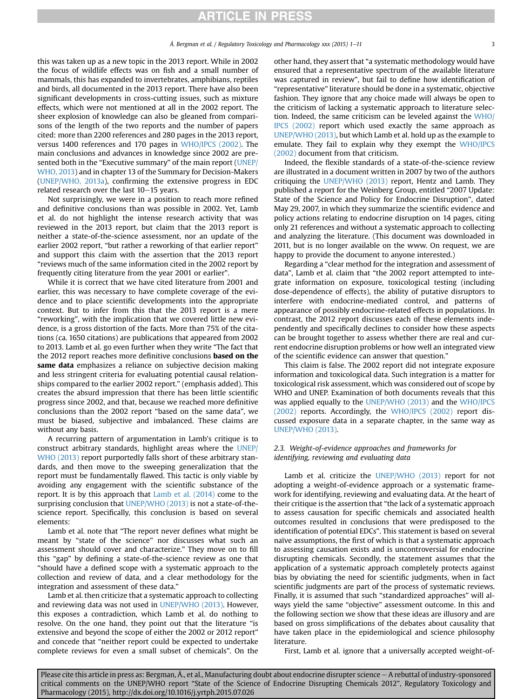this was taken up as a new topic in the 2013 report. While in 2002 the focus of wildlife effects was on fish and a small number of mammals, this has expanded to invertebrates, amphibians, reptiles and birds, all documented in the 2013 report. There have also been significant developments in cross-cutting issues, such as mixture effects, which were not mentioned at all in the 2002 report. The sheer explosion of knowledge can also be gleaned from comparisons of the length of the two reports and the number of papers cited: more than 2200 references and 280 pages in the 2013 report, versus 1400 references and 170 pages in [WHO/IPCS \(2002\)](#page-10-0). The main conclusions and advances in knowledge since 2002 are presented both in the "Executive summary" of the main report ([UNEP/](#page-10-0) [WHO, 2013](#page-10-0)) and in chapter 13 of the Summary for Decision-Makers ([UNEP/WHO, 2013a\)](#page-10-0), confirming the extensive progress in EDC related research over the last  $10-15$  years.

Not surprisingly, we were in a position to reach more refined and definitive conclusions than was possible in 2002. Yet, Lamb et al. do not highlight the intense research activity that was reviewed in the 2013 report, but claim that the 2013 report is neither a state-of-the-science assessment, nor an update of the earlier 2002 report, "but rather a reworking of that earlier report" and support this claim with the assertion that the 2013 report "reviews much of the same information cited in the 2002 report by frequently citing literature from the year 2001 or earlier".

While it is correct that we have cited literature from 2001 and earlier, this was necessary to have complete coverage of the evidence and to place scientific developments into the appropriate context. But to infer from this that the 2013 report is a mere "reworking", with the implication that we covered little new evidence, is a gross distortion of the facts. More than 75% of the citations (ca. 1650 citations) are publications that appeared from 2002 to 2013. Lamb et al. go even further when they write "The fact that the 2012 report reaches more definitive conclusions **based on the** same data emphasizes a reliance on subjective decision making and less stringent criteria for evaluating potential causal relationships compared to the earlier 2002 report." (emphasis added). This creates the absurd impression that there has been little scientific progress since 2002, and that, because we reached more definitive conclusions than the 2002 report "based on the same data", we must be biased, subjective and imbalanced. These claims are without any basis.

A recurring pattern of argumentation in Lamb's critique is to construct arbitrary standards, highlight areas where the [UNEP/](#page-10-0) [WHO \(2013\)](#page-10-0) report purportedly falls short of these arbitrary standards, and then move to the sweeping generalization that the report must be fundamentally flawed. This tactic is only viable by avoiding any engagement with the scientific substance of the report. It is by this approach that [Lamb et al. \(2014\)](#page-10-0) come to the surprising conclusion that [UNEP/WHO \(2013\)](#page-10-0) is not a state-of-thescience report. Specifically, this conclusion is based on several elements:

Lamb et al. note that "The report never defines what might be meant by "state of the science" nor discusses what such an assessment should cover and characterize." They move on to fill this "gap" by defining a state-of-the-science review as one that "should have a defined scope with a systematic approach to the collection and review of data, and a clear methodology for the integration and assessment of these data."

Lamb et al. then criticize that a systematic approach to collecting and reviewing data was not used in [UNEP/WHO \(2013\)](#page-10-0). However, this exposes a contradiction, which Lamb et al. do nothing to resolve. On the one hand, they point out that the literature "is extensive and beyond the scope of either the 2002 or 2012 report" and concede that "neither report could be expected to undertake complete reviews for even a small subset of chemicals". On the other hand, they assert that "a systematic methodology would have ensured that a representative spectrum of the available literature was captured in review", but fail to define how identification of "representative" literature should be done in a systematic, objective fashion. They ignore that any choice made will always be open to the criticism of lacking a systematic approach to literature selection. Indeed, the same criticism can be leveled against the [WHO/](#page-10-0) [IPCS \(2002\)](#page-10-0) report which used exactly the same approach as [UNEP/WHO \(2013\)](#page-10-0), but which Lamb et al. hold up as the example to emulate. They fail to explain why they exempt the [WHO/IPCS](#page-10-0) [\(2002\)](#page-10-0) document from that criticism.

Indeed, the flexible standards of a state-of-the-science review are illustrated in a document written in 2007 by two of the authors critiquing the [UNEP/WHO \(2013\)](#page-10-0) report, Hentz and Lamb. They published a report for the Weinberg Group, entitled "2007 Update: State of the Science and Policy for Endocrine Disruption", dated May 29, 2007, in which they summarize the scientific evidence and policy actions relating to endocrine disruption on 14 pages, citing only 21 references and without a systematic approach to collecting and analyzing the literature. (This document was downloaded in 2011, but is no longer available on the www. On request, we are happy to provide the document to anyone interested.)

Regarding a "clear method for the integration and assessment of data", Lamb et al. claim that "the 2002 report attempted to integrate information on exposure, toxicological testing (including dose-dependence of effects), the ability of putative disruptors to interfere with endocrine-mediated control, and patterns of appearance of possibly endocrine-related effects in populations. In contrast, the 2012 report discusses each of these elements independently and specifically declines to consider how these aspects can be brought together to assess whether there are real and current endocrine disruption problems or how well an integrated view of the scientific evidence can answer that question."

This claim is false. The 2002 report did not integrate exposure information and toxicological data. Such integration is a matter for toxicological risk assessment, which was considered out of scope by WHO and UNEP. Examination of both documents reveals that this was applied equally to the [UNEP/WHO \(2013\)](#page-10-0) and the [WHO/IPCS](#page-10-0) [\(2002\)](#page-10-0) reports. Accordingly, the [WHO/IPCS \(2002\)](#page-10-0) report discussed exposure data in a separate chapter, in the same way as [UNEP/WHO \(2013\).](#page-10-0)

#### 2.3. Weight-of-evidence approaches and frameworks for identifying, reviewing and evaluating data

Lamb et al. criticize the [UNEP/WHO \(2013\)](#page-10-0) report for not adopting a weight-of-evidence approach or a systematic framework for identifying, reviewing and evaluating data. At the heart of their critique is the assertion that "the lack of a systematic approach to assess causation for specific chemicals and associated health outcomes resulted in conclusions that were predisposed to the identification of potential EDCs". This statement is based on several naïve assumptions, the first of which is that a systematic approach to assessing causation exists and is uncontroversial for endocrine disrupting chemicals. Secondly, the statement assumes that the application of a systematic approach completely protects against bias by obviating the need for scientific judgments, when in fact scientific judgments are part of the process of systematic reviews. Finally, it is assumed that such "standardized approaches" will always yield the same "objective" assessment outcome. In this and the following section we show that these ideas are illusory and are based on gross simplifications of the debates about causality that have taken place in the epidemiological and science philosophy literature.

First, Lamb et al. ignore that a universally accepted weight-of-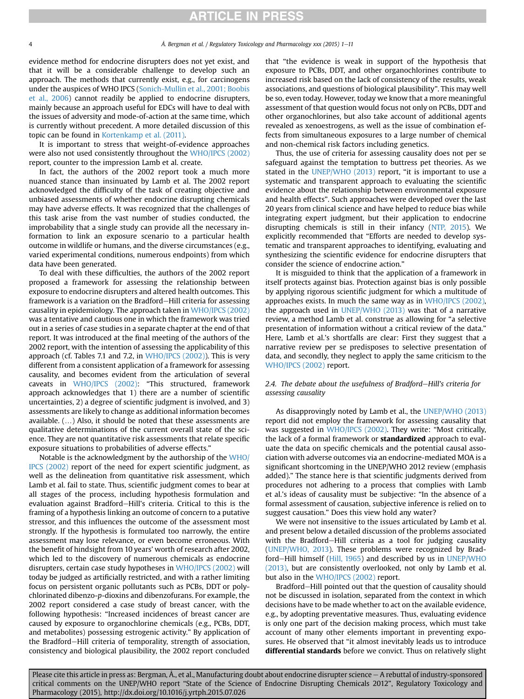evidence method for endocrine disrupters does not yet exist, and that it will be a considerable challenge to develop such an approach. The methods that currently exist, e.g., for carcinogens under the auspices of WHO IPCS [\(Sonich-Mullin et al., 2001; Boobis](#page-10-0) [et al., 2006](#page-10-0)) cannot readily be applied to endocrine disrupters, mainly because an approach useful for EDCs will have to deal with the issues of adversity and mode-of-action at the same time, which is currently without precedent. A more detailed discussion of this topic can be found in [Kortenkamp et al. \(2011\).](#page-10-0)

It is important to stress that weight-of-evidence approaches were also not used consistently throughout the [WHO/IPCS \(2002\)](#page-10-0) report, counter to the impression Lamb et al. create.

In fact, the authors of the 2002 report took a much more nuanced stance than insinuated by Lamb et al. The 2002 report acknowledged the difficulty of the task of creating objective and unbiased assessments of whether endocrine disrupting chemicals may have adverse effects. It was recognized that the challenges of this task arise from the vast number of studies conducted, the improbability that a single study can provide all the necessary information to link an exposure scenario to a particular health outcome in wildlife or humans, and the diverse circumstances (e.g., varied experimental conditions, numerous endpoints) from which data have been generated.

To deal with these difficulties, the authors of the 2002 report proposed a framework for assessing the relationship between exposure to endocrine disrupters and altered health outcomes. This framework is a variation on the Bradford-Hill criteria for assessing causality in epidemiology. The approach taken in [WHO/IPCS \(2002\)](#page-10-0) was a tentative and cautious one in which the framework was tried out in a series of case studies in a separate chapter at the end of that report. It was introduced at the final meeting of the authors of the 2002 report, with the intention of assessing the applicability of this approach (cf. Tables 7.1 and 7.2, in [WHO/IPCS \(2002\)\)](#page-10-0). This is very different from a consistent application of a framework for assessing causality, and becomes evident from the articulation of several caveats in [WHO/IPCS \(2002\)](#page-10-0): "This structured, framework approach acknowledges that 1) there are a number of scientific uncertainties, 2) a degree of scientific judgment is involved, and 3) assessments are likely to change as additional information becomes available. (…) Also, it should be noted that these assessments are qualitative determinations of the current overall state of the science. They are not quantitative risk assessments that relate specific exposure situations to probabilities of adverse effects."

Notable is the acknowledgment by the authorship of the [WHO/](#page-10-0) [IPCS \(2002\)](#page-10-0) report of the need for expert scientific judgment, as well as the delineation from quantitative risk assessment, which Lamb et al. fail to state. Thus, scientific judgment comes to bear at all stages of the process, including hypothesis formulation and evaluation against Bradford-Hill's criteria. Critical to this is the framing of a hypothesis linking an outcome of concern to a putative stressor, and this influences the outcome of the assessment most strongly. If the hypothesis is formulated too narrowly, the entire assessment may lose relevance, or even become erroneous. With the benefit of hindsight from 10 years' worth of research after 2002, which led to the discovery of numerous chemicals as endocrine disrupters, certain case study hypotheses in [WHO/IPCS \(2002\)](#page-10-0) will today be judged as artificially restricted, and with a rather limiting focus on persistent organic pollutants such as PCBs, DDT or polychlorinated dibenzo-p-dioxins and dibenzofurans. For example, the 2002 report considered a case study of breast cancer, with the following hypothesis: "Increased incidences of breast cancer are caused by exposure to organochlorine chemicals (e.g., PCBs, DDT, and metabolites) possessing estrogenic activity." By application of the Bradford–Hill criteria of temporality, strength of association, consistency and biological plausibility, the 2002 report concluded that "the evidence is weak in support of the hypothesis that exposure to PCBs, DDT, and other organochlorines contribute to increased risk based on the lack of consistency of the results, weak associations, and questions of biological plausibility". This may well be so, even today. However, today we know that a more meaningful assessment of that question would focus not only on PCBs, DDT and other organochlorines, but also take account of additional agents revealed as xenoestrogens, as well as the issue of combination effects from simultaneous exposures to a large number of chemical and non-chemical risk factors including genetics.

Thus, the use of criteria for assessing causality does not per se safeguard against the temptation to buttress pet theories. As we stated in the [UNEP/WHO \(2013\)](#page-10-0) report, "it is important to use a systematic and transparent approach to evaluating the scientific evidence about the relationship between environmental exposure and health effects". Such approaches were developed over the last 20 years from clinical science and have helped to reduce bias while integrating expert judgment, but their application to endocrine disrupting chemicals is still in their infancy [\(NTP, 2015](#page-10-0)). We explicitly recommended that "Efforts are needed to develop systematic and transparent approaches to identifying, evaluating and synthesizing the scientific evidence for endocrine disrupters that consider the science of endocrine action."

It is misguided to think that the application of a framework in itself protects against bias. Protection against bias is only possible by applying rigorous scientific judgment for which a multitude of approaches exists. In much the same way as in [WHO/IPCS \(2002\),](#page-10-0) the approach used in [UNEP/WHO \(2013\)](#page-10-0) was that of a narrative review, a method Lamb et al. construe as allowing for "a selective presentation of information without a critical review of the data." Here, Lamb et al.'s shortfalls are clear: First they suggest that a narrative review per se predisposes to selective presentation of data, and secondly, they neglect to apply the same criticism to the [WHO/IPCS \(2002\)](#page-10-0) report.

#### 2.4. The debate about the usefulness of Bradford–Hill's criteria for assessing causality

As disapprovingly noted by Lamb et al., the [UNEP/WHO \(2013\)](#page-10-0) report did not employ the framework for assessing causality that was suggested in [WHO/IPCS \(2002\).](#page-10-0) They write: "Most critically, the lack of a formal framework or **standardized** approach to evaluate the data on specific chemicals and the potential causal association with adverse outcomes via an endocrine-mediated MOA is a significant shortcoming in the UNEP/WHO 2012 review (emphasis added)." The stance here is that scientific judgments derived from procedures not adhering to a process that complies with Lamb et al.'s ideas of causality must be subjective: "In the absence of a formal assessment of causation, subjective inference is relied on to suggest causation." Does this view hold any water?

We were not insensitive to the issues articulated by Lamb et al. and present below a detailed discussion of the problems associated with the Bradford-Hill criteria as a tool for judging causality ([UNEP/WHO, 2013](#page-10-0)). These problems were recognized by Brad-ford–Hill himself [\(Hill, 1965\)](#page-10-0) and described by us in [UNEP/WHO](#page-10-0) [\(2013\)](#page-10-0), but are consistently overlooked, not only by Lamb et al. but also in the [WHO/IPCS \(2002\)](#page-10-0) report.

Bradford-Hill pointed out that the question of causality should not be discussed in isolation, separated from the context in which decisions have to be made whether to act on the available evidence, e.g., by adopting preventative measures. Thus, evaluating evidence is only one part of the decision making process, which must take account of many other elements important in preventing exposures. He observed that "it almost inevitably leads us to introduce differential standards before we convict. Thus on relatively slight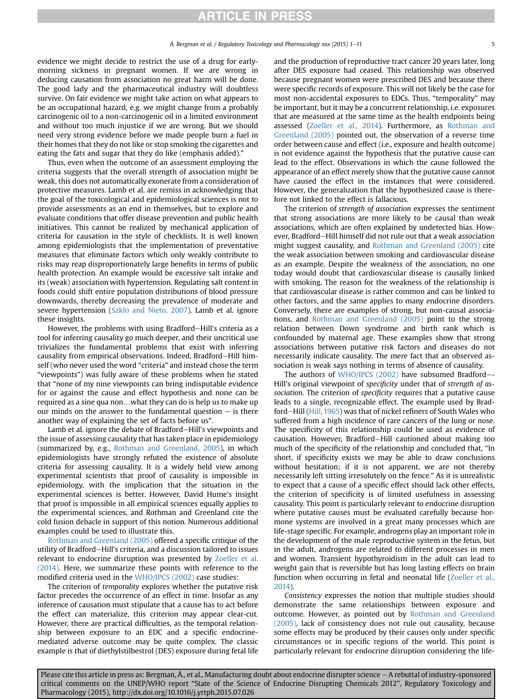evidence we might decide to restrict the use of a drug for earlymorning sickness in pregnant women. If we are wrong in deducing causation from association no great harm will be done. The good lady and the pharmaceutical industry will doubtless survive. On fair evidence we might take action on what appears to be an occupational hazard, e.g. we might change from a probably carcinogenic oil to a non-carcinogenic oil in a limited environment and without too much injustice if we are wrong. But we should need very strong evidence before we made people burn a fuel in their homes that they do not like or stop smoking the cigarettes and eating the fats and sugar that they do like (emphasis added)."

Thus, even when the outcome of an assessment employing the criteria suggests that the overall strength of association might be weak, this does not automatically exonerate from a consideration of protective measures. Lamb et al. are remiss in acknowledging that the goal of the toxicological and epidemiological sciences is not to provide assessments as an end in themselves, but to explore and evaluate conditions that offer disease prevention and public health initiatives. This cannot be realized by mechanical application of criteria for causation in the style of checklists. It is well known among epidemiologists that the implementation of preventative measures that eliminate factors which only weakly contribute to risks may reap disproportionately large benefits in terms of public health protection. An example would be excessive salt intake and its (weak) association with hypertension. Regulating salt content in foods could shift entire population distributions of blood pressure downwards, thereby decreasing the prevalence of moderate and severe hypertension ([Szklo and Nieto, 2007](#page-10-0)). Lamb et al. ignore these insights.

However, the problems with using Bradford–Hill's criteria as a tool for inferring causality go much deeper, and their uncritical use trivializes the fundamental problems that exist with inferring causality from empirical observations. Indeed, Bradford-Hill himself (who never used the word "criteria" and instead chose the term "viewpoints") was fully aware of these problems when he stated that "none of my nine viewpoints can bring indisputable evidence for or against the cause and effect hypothesis and none can be required as a sine qua non…what they can do is help us to make up our minds on the answer to the fundamental question  $-$  is there another way of explaining the set of facts before us".

Lamb et al. ignore the debate of Bradford-Hill's viewpoints and the issue of assessing causality that has taken place in epidemiology (summarized by, e.g., [Rothman and Greenland, 2005](#page-10-0)), in which epidemiologists have strongly refuted the existence of absolute criteria for assessing causality. It is a widely held view among experimental scientists that proof of causality is impossible in epidemiology, with the implication that the situation in the experimental sciences is better. However, David Hume's insight that proof is impossible in all empirical sciences equally applies to the experimental sciences, and Rothman and Greenland cite the cold fusion debacle in support of this notion. Numerous additional examples could be used to illustrate this.

[Rothman and Greenland \(2005\)](#page-10-0) offered a specific critique of the utility of Bradford-Hill's criteria, and a discussion tailored to issues relevant to endocrine disruption was presented by [Zoeller et al.](#page-10-0) [\(2014\).](#page-10-0) Here, we summarize these points with reference to the modified criteria used in the [WHO/IPCS \(2002\)](#page-10-0) case studies:

The criterion of temporality explores whether the putative risk factor precedes the occurrence of an effect in time. Insofar as any inference of causation must stipulate that a cause has to act before the effect can materialize, this criterion may appear clear-cut. However, there are practical difficulties, as the temporal relationship between exposure to an EDC and a specific endocrinemediated adverse outcome may be quite complex. The classic example is that of diethylstilbestrol (DES) exposure during fetal life and the production of reproductive tract cancer 20 years later, long after DES exposure had ceased. This relationship was observed because pregnant women were prescribed DES and because there were specific records of exposure. This will not likely be the case for most non-accidental exposures to EDCs. Thus, "temporality" may be important, but it may be a concurrent relationship, i.e. exposures that are measured at the same time as the health endpoints being assessed [\(Zoeller et al., 2014](#page-10-0)). Furthermore, as [Rothman and](#page-10-0) [Greenland \(2005\)](#page-10-0) pointed out, the observation of a reverse time order between cause and effect (i.e., exposure and health outcome) is not evidence against the hypothesis that the putative cause can lead to the effect. Observations in which the cause followed the appearance of an effect merely show that the putative cause cannot have caused the effect in the instances that were considered. However, the generalization that the hypothesized cause is therefore not linked to the effect is fallacious.

The criterion of strength of association expresses the sentiment that strong associations are more likely to be causal than weak associations, which are often explained by undetected bias. However, Bradford-Hill himself did not rule out that a weak association might suggest causality, and [Rothman and Greenland \(2005\)](#page-10-0) cite the weak association between smoking and cardiovascular disease as an example. Despite the weakness of the association, no one today would doubt that cardiovascular disease is causally linked with smoking. The reason for the weakness of the relationship is that cardiovascular disease is rather common and can be linked to other factors, and the same applies to many endocrine disorders. Conversely, there are examples of strong, but non-causal associations, and [Rothman and Greenland \(2005\)](#page-10-0) point to the strong relation between Down syndrome and birth rank which is confounded by maternal age. These examples show that strong associations between putative risk factors and diseases do not necessarily indicate causality. The mere fact that an observed association is weak says nothing in terms of absence of causality.

The authors of WHO/IPCS  $(2002)$  have subsumed Bradford--Hill's original viewpoint of specificity under that of strength of association. The criterion of specificity requires that a putative cause leads to a single, recognizable effect. The example used by Brad-ford-Hill [\(Hill, 1965](#page-10-0)) was that of nickel refiners of South Wales who suffered from a high incidence of rare cancers of the lung or nose. The specificity of this relationship could be used as evidence of causation. However, Bradford-Hill cautioned about making too much of the specificity of the relationship and concluded that, "In short, if specificity exists we may be able to draw conclusions without hesitation; if it is not apparent, we are not thereby necessarily left sitting irresolutely on the fence." As it is unrealistic to expect that a cause of a specific effect should lack other effects, the criterion of specificity is of limited usefulness in assessing causality. This point is particularly relevant to endocrine disruption where putative causes must be evaluated carefully because hormone systems are involved in a great many processes which are life-stage specific. For example, androgens play an important role in the development of the male reproductive system in the fetus, but in the adult, androgens are related to different processes in men and women. Transient hypothyroidism in the adult can lead to weight gain that is reversible but has long lasting effects on brain function when occurring in fetal and neonatal life [\(Zoeller et al.,](#page-10-0) [2014\)](#page-10-0).

Consistency expresses the notion that multiple studies should demonstrate the same relationships between exposure and outcome. However, as pointed out by [Rothman and Greenland](#page-10-0) [\(2005\),](#page-10-0) lack of consistency does not rule out causality, because some effects may be produced by their causes only under specific circumstances or in specific regions of the world. This point is particularly relevant for endocrine disruption considering the life-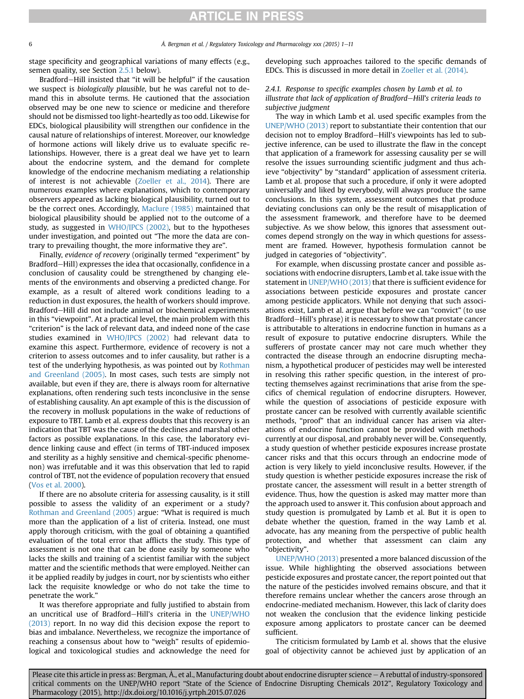stage specificity and geographical variations of many effects (e.g., semen quality, see Section [2.5.1](#page-6-0) below).

Bradford-Hill insisted that "it will be helpful" if the causation we suspect is biologically plausible, but he was careful not to demand this in absolute terms. He cautioned that the association observed may be one new to science or medicine and therefore should not be dismissed too light-heartedly as too odd. Likewise for EDCs, biological plausibility will strengthen our confidence in the causal nature of relationships of interest. Moreover, our knowledge of hormone actions will likely drive us to evaluate specific relationships. However, there is a great deal we have yet to learn about the endocrine system, and the demand for complete knowledge of the endocrine mechanism mediating a relationship of interest is not achievable [\(Zoeller et al., 2014](#page-10-0)). There are numerous examples where explanations, which to contemporary observers appeared as lacking biological plausibility, turned out to be the correct ones. Accordingly, [Maclure \(1985\)](#page-10-0) maintained that biological plausibility should be applied not to the outcome of a study, as suggested in [WHO/IPCS \(2002\),](#page-10-0) but to the hypotheses under investigation, and pointed out "The more the data are contrary to prevailing thought, the more informative they are".

Finally, evidence of recovery (originally termed "experiment" by Bradford–Hill) expresses the idea that occasionally, confidence in a conclusion of causality could be strengthened by changing elements of the environments and observing a predicted change. For example, as a result of altered work conditions leading to a reduction in dust exposures, the health of workers should improve. Bradford-Hill did not include animal or biochemical experiments in this "viewpoint". At a practical level, the main problem with this "criterion" is the lack of relevant data, and indeed none of the case studies examined in [WHO/IPCS \(2002\)](#page-10-0) had relevant data to examine this aspect. Furthermore, evidence of recovery is not a criterion to assess outcomes and to infer causality, but rather is a test of the underlying hypothesis, as was pointed out by [Rothman](#page-10-0) [and Greenland \(2005\)](#page-10-0). In most cases, such tests are simply not available, but even if they are, there is always room for alternative explanations, often rendering such tests inconclusive in the sense of establishing causality. An apt example of this is the discussion of the recovery in mollusk populations in the wake of reductions of exposure to TBT. Lamb et al. express doubts that this recovery is an indication that TBT was the cause of the declines and marshal other factors as possible explanations. In this case, the laboratory evidence linking cause and effect (in terms of TBT-induced imposex and sterility as a highly sensitive and chemical-specific phenomenon) was irrefutable and it was this observation that led to rapid control of TBT, not the evidence of population recovery that ensued ([Vos et al. 2000](#page-10-0)).

If there are no absolute criteria for assessing causality, is it still possible to assess the validity of an experiment or a study? [Rothman and Greenland \(2005\)](#page-10-0) argue: "What is required is much more than the application of a list of criteria. Instead, one must apply thorough criticism, with the goal of obtaining a quantified evaluation of the total error that afflicts the study. This type of assessment is not one that can be done easily by someone who lacks the skills and training of a scientist familiar with the subject matter and the scientific methods that were employed. Neither can it be applied readily by judges in court, nor by scientists who either lack the requisite knowledge or who do not take the time to penetrate the work."

It was therefore appropriate and fully justified to abstain from an uncritical use of Bradford-Hill's criteria in the [UNEP/WHO](#page-10-0) [\(2013\)](#page-10-0) report. In no way did this decision expose the report to bias and imbalance. Nevertheless, we recognize the importance of reaching a consensus about how to "weigh" results of epidemiological and toxicological studies and acknowledge the need for developing such approaches tailored to the specific demands of EDCs. This is discussed in more detail in [Zoeller et al. \(2014\)](#page-10-0).

#### 2.4.1. Response to specific examples chosen by Lamb et al. to illustrate that lack of application of Bradford-Hill's criteria leads to subjective judgment

The way in which Lamb et al. used specific examples from the [UNEP/WHO \(2013\)](#page-10-0) report to substantiate their contention that our decision not to employ Bradford-Hill's viewpoints has led to subjective inference, can be used to illustrate the flaw in the concept that application of a framework for assessing causality per se will resolve the issues surrounding scientific judgment and thus achieve "objectivity" by "standard" application of assessment criteria. Lamb et al. propose that such a procedure, if only it were adopted universally and liked by everybody, will always produce the same conclusions. In this system, assessment outcomes that produce deviating conclusions can only be the result of misapplication of the assessment framework, and therefore have to be deemed subjective. As we show below, this ignores that assessment outcomes depend strongly on the way in which questions for assessment are framed. However, hypothesis formulation cannot be judged in categories of "objectivity".

For example, when discussing prostate cancer and possible associations with endocrine disrupters, Lamb et al. take issue with the statement in [UNEP/WHO \(2013\)](#page-10-0) that there is sufficient evidence for associations between pesticide exposures and prostate cancer among pesticide applicators. While not denying that such associations exist, Lamb et al. argue that before we can "convict" (to use Bradford-Hill's phrase) it is necessary to show that prostate cancer is attributable to alterations in endocrine function in humans as a result of exposure to putative endocrine disrupters. While the sufferers of prostate cancer may not care much whether they contracted the disease through an endocrine disrupting mechanism, a hypothetical producer of pesticides may well be interested in resolving this rather specific question, in the interest of protecting themselves against recriminations that arise from the specifics of chemical regulation of endocrine disrupters. However, while the question of associations of pesticide exposure with prostate cancer can be resolved with currently available scientific methods, "proof" that an individual cancer has arisen via alterations of endocrine function cannot be provided with methods currently at our disposal, and probably never will be. Consequently, a study question of whether pesticide exposures increase prostate cancer risks and that this occurs through an endocrine mode of action is very likely to yield inconclusive results. However, if the study question is whether pesticide exposures increase the risk of prostate cancer, the assessment will result in a better strength of evidence. Thus, how the question is asked may matter more than the approach used to answer it. This confusion about approach and study question is promulgated by Lamb et al. But it is open to debate whether the question, framed in the way Lamb et al. advocate, has any meaning from the perspective of public health protection, and whether that assessment can claim any "objectivity".

[UNEP/WHO \(2013\)](#page-10-0) presented a more balanced discussion of the issue. While highlighting the observed associations between pesticide exposures and prostate cancer, the report pointed out that the nature of the pesticides involved remains obscure, and that it therefore remains unclear whether the cancers arose through an endocrine-mediated mechanism. However, this lack of clarity does not weaken the conclusion that the evidence linking pesticide exposure among applicators to prostate cancer can be deemed sufficient.

The criticism formulated by Lamb et al. shows that the elusive goal of objectivity cannot be achieved just by application of an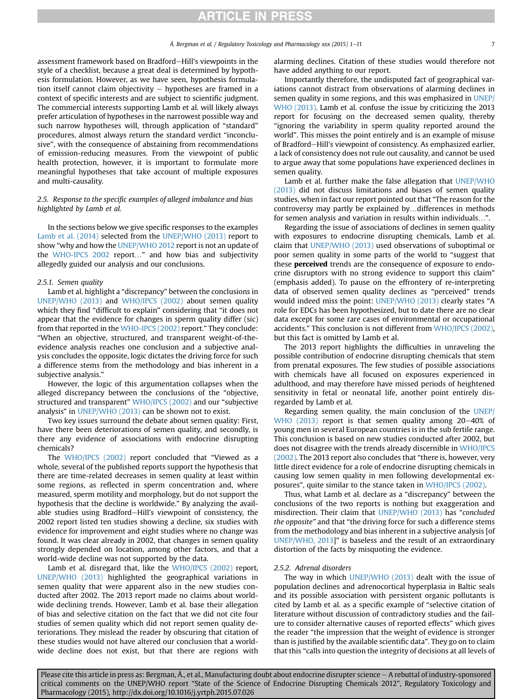<span id="page-6-0"></span>assessment framework based on Bradford-Hill's viewpoints in the style of a checklist, because a great deal is determined by hypothesis formulation. However, as we have seen, hypothesis formulation itself cannot claim objectivity  $-$  hypotheses are framed in a context of specific interests and are subject to scientific judgment. The commercial interests supporting Lamb et al. will likely always prefer articulation of hypotheses in the narrowest possible way and such narrow hypotheses will, through application of "standard" procedures, almost always return the standard verdict "inconclusive", with the consequence of abstaining from recommendations of emission-reducing measures. From the viewpoint of public health protection, however, it is important to formulate more meaningful hypotheses that take account of multiple exposures and multi-causality.

#### 2.5. Response to the specific examples of alleged imbalance and bias highlighted by Lamb et al.

In the sections below we give specific responses to the examples [Lamb et al. \(2014\)](#page-10-0) selected from the [UNEP/WHO \(2013\)](#page-10-0) report to show "why and how the [UNEP/WHO 2012](#page-10-0) report is not an update of the [WHO-IPCS 2002](#page-10-0) report…" and how bias and subjectivity allegedly guided our analysis and our conclusions.

#### 2.5.1. Semen quality

Lamb et al. highlight a "discrepancy" between the conclusions in [UNEP/WHO \(2013\)](#page-10-0) and [WHO/IPCS \(2002\)](#page-10-0) about semen quality which they find "difficult to explain" considering that "it does not appear that the evidence for changes in sperm quality differ (sic) from that reported in the [WHO-IPCS \(2002\)](#page-10-0) report." They conclude: "When an objective, structured, and transparent weight-of-theevidence analysis reaches one conclusion and a subjective analysis concludes the opposite, logic dictates the driving force for such a difference stems from the methodology and bias inherent in a subjective analysis."

However, the logic of this argumentation collapses when the alleged discrepancy between the conclusions of the "objective, structured and transparent" [WHO/IPCS \(2002\)](#page-10-0) and our "subjective analysis" in [UNEP/WHO \(2013\)](#page-10-0) can be shown not to exist.

Two key issues surround the debate about semen quality: First, have there been deteriorations of semen quality, and secondly, is there any evidence of associations with endocrine disrupting chemicals?

The [WHO/IPCS \(2002\)](#page-10-0) report concluded that "Viewed as a whole, several of the published reports support the hypothesis that there are time-related decreases in semen quality at least within some regions, as reflected in sperm concentration and, where measured, sperm motility and morphology, but do not support the hypothesis that the decline is worldwide." By analyzing the available studies using Bradford–Hill's viewpoint of consistency, the 2002 report listed ten studies showing a decline, six studies with evidence for improvement and eight studies where no change was found. It was clear already in 2002, that changes in semen quality strongly depended on location, among other factors, and that a world-wide decline was not supported by the data.

Lamb et al. disregard that, like the [WHO/IPCS \(2002\)](#page-10-0) report, [UNEP/WHO \(2013\)](#page-10-0) highlighted the geographical variations in semen quality that were apparent also in the new studies conducted after 2002. The 2013 report made no claims about worldwide declining trends. However, Lamb et al. base their allegation of bias and selective citation on the fact that we did not cite four studies of semen quality which did not report semen quality deteriorations. They mislead the reader by obscuring that citation of these studies would not have altered our conclusion that a worldwide decline does not exist, but that there are regions with alarming declines. Citation of these studies would therefore not have added anything to our report.

Importantly therefore, the undisputed fact of geographical variations cannot distract from observations of alarming declines in semen quality in some regions, and this was emphasized in [UNEP/](#page-10-0) [WHO \(2013\)](#page-10-0). Lamb et al. confuse the issue by criticizing the 2013 report for focusing on the decreased semen quality, thereby "ignoring the variability in sperm quality reported around the world". This misses the point entirely and is an example of misuse of Bradford-Hill's viewpoint of consistency. As emphasized earlier, a lack of consistency does not rule out causality, and cannot be used to argue away that some populations have experienced declines in semen quality.

Lamb et al. further make the false allegation that [UNEP/WHO](#page-10-0) [\(2013\)](#page-10-0) did not discuss limitations and biases of semen quality studies, when in fact our report pointed out that "The reason for the controversy may partly be explained by…differences in methods for semen analysis and variation in results within individuals…".

Regarding the issue of associations of declines in semen quality with exposures to endocrine disrupting chemicals, Lamb et al. claim that [UNEP/WHO \(2013\)](#page-10-0) used observations of suboptimal or poor semen quality in some parts of the world to "suggest that these **perceived** trends are the consequence of exposure to endocrine disruptors with no strong evidence to support this claim" (emphasis added). To pause on the effrontery of re-interpreting data of observed semen quality declines as "perceived" trends would indeed miss the point: [UNEP/WHO \(2013\)](#page-10-0) clearly states "A role for EDCs has been hypothesized, but to date there are no clear data except for some rare cases of environmental or occupational accidents." This conclusion is not different from [WHO/IPCS \(2002\),](#page-10-0) but this fact is omitted by Lamb et al.

The 2013 report highlights the difficulties in unraveling the possible contribution of endocrine disrupting chemicals that stem from prenatal exposures. The few studies of possible associations with chemicals have all focused on exposures experienced in adulthood, and may therefore have missed periods of heightened sensitivity in fetal or neonatal life, another point entirely disregarded by Lamb et al.

Regarding semen quality, the main conclusion of the [UNEP/](#page-10-0) WHO  $(2013)$  report is that semen quality among  $20-40%$  of young men in several European countries is in the sub fertile range. This conclusion is based on new studies conducted after 2002, but does not disagree with the trends already discernible in [WHO/IPCS](#page-10-0) [\(2002\).](#page-10-0) The 2013 report also concludes that "there is, however, very little direct evidence for a role of endocrine disrupting chemicals in causing low semen quality in men following developmental exposures", quite similar to the stance taken in [WHO/IPCS \(2002\)](#page-10-0).

Thus, what Lamb et al. declare as a "discrepancy" between the conclusions of the two reports is nothing but exaggeration and misdirection. Their claim that [UNEP/WHO \(2013\)](#page-10-0) has "concluded the opposite" and that "the driving force for such a difference stems from the methodology and bias inherent in a subjective analysis [of [UNEP/WHO, 2013](#page-10-0)]" is baseless and the result of an extraordinary distortion of the facts by misquoting the evidence.

#### 2.5.2. Adrenal disorders

The way in which [UNEP/WHO \(2013\)](#page-10-0) dealt with the issue of population declines and adrenocortical hyperplasia in Baltic seals and its possible association with persistent organic pollutants is cited by Lamb et al. as a specific example of "selective citation of literature without discussion of contradictory studies and the failure to consider alternative causes of reported effects" which gives the reader "the impression that the weight of evidence is stronger than is justified by the available scientific data". They go on to claim that this "calls into question the integrity of decisions at all levels of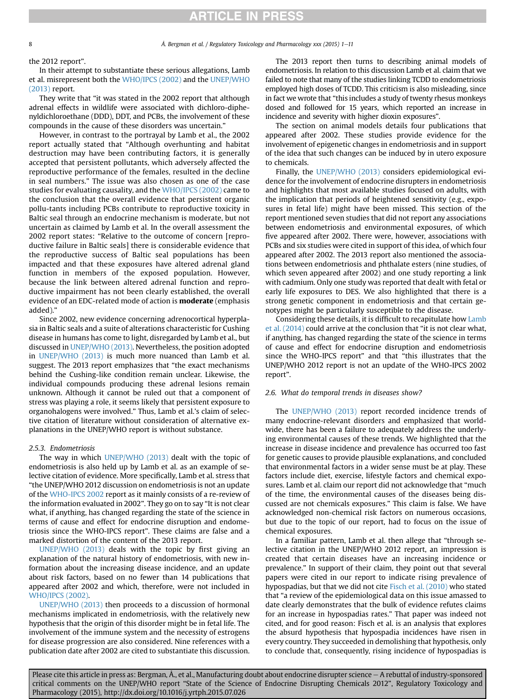the 2012 report".

In their attempt to substantiate these serious allegations, Lamb et al. misrepresent both the [WHO/IPCS \(2002\)](#page-10-0) and the [UNEP/WHO](#page-10-0) [\(2013\)](#page-10-0) report.

They write that "it was stated in the 2002 report that although adrenal effects in wildlife were associated with dichloro-diphenyldichloroethane (DDD), DDT, and PCBs, the involvement of these compounds in the cause of these disorders was uncertain."

However, in contrast to the portrayal by Lamb et al., the 2002 report actually stated that "Although overhunting and habitat destruction may have been contributing factors, it is generally accepted that persistent pollutants, which adversely affected the reproductive performance of the females, resulted in the decline in seal numbers." The issue was also chosen as one of the case studies for evaluating causality, and the [WHO/IPCS \(2002\)](#page-10-0) came to the conclusion that the overall evidence that persistent organic pollu-tants including PCBs contribute to reproductive toxicity in Baltic seal through an endocrine mechanism is moderate, but not uncertain as claimed by Lamb et al. In the overall assessment the 2002 report states: "Relative to the outcome of concern [reproductive failure in Baltic seals] there is considerable evidence that the reproductive success of Baltic seal populations has been impacted and that these exposures have altered adrenal gland function in members of the exposed population. However, because the link between altered adrenal function and reproductive impairment has not been clearly established, the overall evidence of an EDC-related mode of action is moderate (emphasis added)."

Since 2002, new evidence concerning adrenocortical hyperplasia in Baltic seals and a suite of alterations characteristic for Cushing disease in humans has come to light, disregarded by Lamb et al., but discussed in [UNEP/WHO \(2013\).](#page-10-0) Nevertheless, the position adopted in [UNEP/WHO \(2013\)](#page-10-0) is much more nuanced than Lamb et al. suggest. The 2013 report emphasizes that "the exact mechanisms behind the Cushing-like condition remain unclear. Likewise, the individual compounds producing these adrenal lesions remain unknown. Although it cannot be ruled out that a component of stress was playing a role, it seems likely that persistent exposure to organohalogens were involved." Thus, Lamb et al.'s claim of selective citation of literature without consideration of alternative explanations in the UNEP/WHO report is without substance.

#### 2.5.3. Endometriosis

The way in which [UNEP/WHO \(2013\)](#page-10-0) dealt with the topic of endometriosis is also held up by Lamb et al. as an example of selective citation of evidence. More specifically, Lamb et al. stress that "the UNEP/WHO 2012 discussion on endometriosis is not an update of the [WHO-IPCS 2002](#page-10-0) report as it mainly consists of a re-review of the information evaluated in 2002". They go on to say "It is not clear what, if anything, has changed regarding the state of the science in terms of cause and effect for endocrine disruption and endometriosis since the WHO-IPCS report". These claims are false and a marked distortion of the content of the 2013 report.

[UNEP/WHO \(2013\)](#page-10-0) deals with the topic by first giving an explanation of the natural history of endometriosis, with new information about the increasing disease incidence, and an update about risk factors, based on no fewer than 14 publications that appeared after 2002 and which, therefore, were not included in [WHO/IPCS \(2002\)](#page-10-0).

[UNEP/WHO \(2013\)](#page-10-0) then proceeds to a discussion of hormonal mechanisms implicated in endometriosis, with the relatively new hypothesis that the origin of this disorder might be in fetal life. The involvement of the immune system and the necessity of estrogens for disease progression are also considered. Nine references with a publication date after 2002 are cited to substantiate this discussion.

The 2013 report then turns to describing animal models of endometriosis. In relation to this discussion Lamb et al. claim that we failed to note that many of the studies linking TCDD to endometriosis employed high doses of TCDD. This criticism is also misleading, since in fact we wrote that "this includes a study of twenty rhesus monkeys dosed and followed for 15 years, which reported an increase in incidence and severity with higher dioxin exposures".

The section on animal models details four publications that appeared after 2002. These studies provide evidence for the involvement of epigenetic changes in endometriosis and in support of the idea that such changes can be induced by in utero exposure to chemicals.

Finally, the [UNEP/WHO \(2013\)](#page-10-0) considers epidemiological evidence for the involvement of endocrine disrupters in endometriosis and highlights that most available studies focused on adults, with the implication that periods of heightened sensitivity (e.g., exposures in fetal life) might have been missed. This section of the report mentioned seven studies that did not report any associations between endometriosis and environmental exposures, of which five appeared after 2002. There were, however, associations with PCBs and six studies were cited in support of this idea, of which four appeared after 2002. The 2013 report also mentioned the associations between endometriosis and phthalate esters (nine studies, of which seven appeared after 2002) and one study reporting a link with cadmium. Only one study was reported that dealt with fetal or early life exposures to DES. We also highlighted that there is a strong genetic component in endometriosis and that certain genotypes might be particularly susceptible to the disease.

Considering these details, it is difficult to recapitulate how [Lamb](#page-10-0) [et al. \(2014\)](#page-10-0) could arrive at the conclusion that "it is not clear what, if anything, has changed regarding the state of the science in terms of cause and effect for endocrine disruption and endometriosis since the WHO-IPCS report" and that "this illustrates that the UNEP/WHO 2012 report is not an update of the WHO-IPCS 2002 report".

#### 2.6. What do temporal trends in diseases show?

The [UNEP/WHO \(2013\)](#page-10-0) report recorded incidence trends of many endocrine-relevant disorders and emphasized that worldwide, there has been a failure to adequately address the underlying environmental causes of these trends. We highlighted that the increase in disease incidence and prevalence has occurred too fast for genetic causes to provide plausible explanations, and concluded that environmental factors in a wider sense must be at play. These factors include diet, exercise, lifestyle factors and chemical exposures. Lamb et al. claim our report did not acknowledge that "much of the time, the environmental causes of the diseases being discussed are not chemicals exposures." This claim is false. We have acknowledged non-chemical risk factors on numerous occasions, but due to the topic of our report, had to focus on the issue of chemical exposures.

In a familiar pattern, Lamb et al. then allege that "through selective citation in the UNEP/WHO 2012 report, an impression is created that certain diseases have an increasing incidence or prevalence." In support of their claim, they point out that several papers were cited in our report to indicate rising prevalence of hypospadias, but that we did not cite [Fisch et al. \(2010\)](#page-9-0) who stated that "a review of the epidemiological data on this issue amassed to date clearly demonstrates that the bulk of evidence refutes claims for an increase in hypospadias rates." That paper was indeed not cited, and for good reason: Fisch et al. is an analysis that explores the absurd hypothesis that hypospadia incidences have risen in every country. They succeeded in demolishing that hypothesis, only to conclude that, consequently, rising incidence of hypospadias is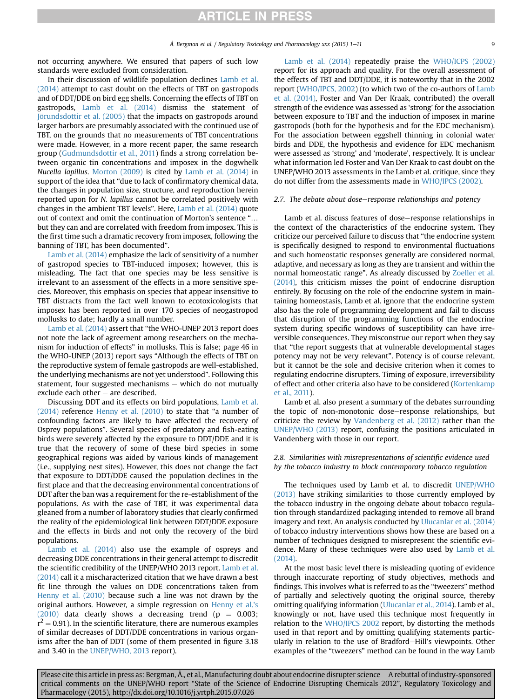<span id="page-8-0"></span>not occurring anywhere. We ensured that papers of such low standards were excluded from consideration.

In their discussion of wildlife population declines [Lamb et al.](#page-10-0) [\(2014\)](#page-10-0) attempt to cast doubt on the effects of TBT on gastropods and of DDT/DDE on bird egg shells. Concerning the effects of TBT on gastropods, [Lamb et al. \(2014\)](#page-10-0) dismiss the statement of [J](#page-10-0)ö[rundsdottir et al. \(2005\)](#page-10-0) that the impacts on gastropods around larger harbors are presumably associated with the continued use of TBT, on the grounds that no measurements of TBT concentrations were made. However, in a more recent paper, the same research group [\(Gudmundsdottir et al., 2011\)](#page-9-0) finds a strong correlation between organic tin concentrations and imposex in the dogwhelk Nucella lapillus. [Morton \(2009\)](#page-10-0) is cited by [Lamb et al. \(2014\)](#page-10-0) in support of the idea that "due to lack of confirmatory chemical data, the changes in population size, structure, and reproduction herein reported upon for N. lapillus cannot be correlated positively with changes in the ambient TBT levels". Here, [Lamb et al. \(2014\)](#page-10-0) quote out of context and omit the continuation of Morton's sentence "… but they can and are correlated with freedom from imposex. This is the first time such a dramatic recovery from imposex, following the banning of TBT, has been documented".

[Lamb et al. \(2014\)](#page-10-0) emphasize the lack of sensitivity of a number of gastropod species to TBT-induced imposex; however, this is misleading. The fact that one species may be less sensitive is irrelevant to an assessment of the effects in a more sensitive species. Moreover, this emphasis on species that appear insensitive to TBT distracts from the fact well known to ecotoxicologists that imposex has been reported in over 170 species of neogastropod mollusks to date; hardly a small number.

[Lamb et al. \(2014\)](#page-10-0) assert that "the WHO-UNEP 2013 report does not note the lack of agreement among researchers on the mechanism for induction of effects" in mollusks. This is false; page 46 in the WHO-UNEP (2013) report says "Although the effects of TBT on the reproductive system of female gastropods are well-established, the underlying mechanisms are not yet understood". Following this statement, four suggested mechanisms  $-$  which do not mutually exclude each other  $-$  are described.

Discussing DDT and its effects on bird populations, [Lamb et al.](#page-10-0) [\(2014\)](#page-10-0) reference [Henny et al. \(2010\)](#page-10-0) to state that "a number of confounding factors are likely to have affected the recovery of Osprey populations". Several species of predatory and fish-eating birds were severely affected by the exposure to DDT/DDE and it is true that the recovery of some of these bird species in some geographical regions was aided by various kinds of management (i.e., supplying nest sites). However, this does not change the fact that exposure to DDT/DDE caused the population declines in the first place and that the decreasing environmental concentrations of DDT after the ban was a requirement for the re-establishment of the populations. As with the case of TBT, it was experimental data gleaned from a number of laboratory studies that clearly confirmed the reality of the epidemiological link between DDT/DDE exposure and the effects in birds and not only the recovery of the bird populations.

[Lamb et al. \(2014\)](#page-10-0) also use the example of ospreys and decreasing DDE concentrations in their general attempt to discredit the scientific credibility of the UNEP/WHO 2013 report. [Lamb et al.](#page-10-0) [\(2014\)](#page-10-0) call it a mischaracterized citation that we have drawn a best fit line through the values on DDE concentrations taken from [Henny et al. \(2010\)](#page-10-0) because such a line was not drawn by the original authors. However, a simple regression on [Henny et al.'s](#page-10-0) [\(2010\)](#page-10-0) data clearly shows a decreasing trend ( $p = 0.003$ ;  $r^2$  = 0.91). In the scientific literature, there are numerous examples of similar decreases of DDT/DDE concentrations in various organisms after the ban of DDT (some of them presented in figure 3.18 and 3.40 in the [UNEP/WHO, 2013](#page-10-0) report).

[Lamb et al. \(2014\)](#page-10-0) repeatedly praise the [WHO/ICPS \(2002\)](#page-10-0) report for its approach and quality. For the overall assessment of the effects of TBT and DDT/DDE, it is noteworthy that in the 2002 report [\(WHO/IPCS, 2002\)](#page-10-0) (to which two of the co-authors of [Lamb](#page-10-0) [et al. \(2014\),](#page-10-0) Foster and Van Der Kraak, contributed) the overall strength of the evidence was assessed as 'strong' for the association between exposure to TBT and the induction of imposex in marine gastropods (both for the hypothesis and for the EDC mechanism). For the association between eggshell thinning in colonial water birds and DDE, the hypothesis and evidence for EDC mechanism were assessed as 'strong' and 'moderate', respectively. It is unclear what information led Foster and Van Der Kraak to cast doubt on the UNEP/WHO 2013 assessments in the Lamb et al. critique, since they do not differ from the assessments made in [WHO/IPCS \(2002\)](#page-10-0).

#### 2.7. The debate about dose–response relationships and potency

Lamb et al. discuss features of dose-response relationships in the context of the characteristics of the endocrine system. They criticize our perceived failure to discuss that "the endocrine system is specifically designed to respond to environmental fluctuations and such homeostatic responses generally are considered normal, adaptive, and necessary as long as they are transient and within the normal homeostatic range". As already discussed by [Zoeller et al.](#page-10-0) [\(2014\),](#page-10-0) this criticism misses the point of endocrine disruption entirely. By focusing on the role of the endocrine system in maintaining homeostasis, Lamb et al. ignore that the endocrine system also has the role of programming development and fail to discuss that disruption of the programming functions of the endocrine system during specific windows of susceptibility can have irreversible consequences. They misconstrue our report when they say that "the report suggests that at vulnerable developmental stages potency may not be very relevant". Potency is of course relevant, but it cannot be the sole and decisive criterion when it comes to regulating endocrine disrupters. Timing of exposure, irreversibility of effect and other criteria also have to be considered ([Kortenkamp](#page-10-0) [et al., 2011](#page-10-0)).

Lamb et al. also present a summary of the debates surrounding the topic of non-monotonic dose-response relationships, but criticize the review by [Vandenberg et al. \(2012\)](#page-10-0) rather than the [UNEP/WHO \(2013\)](#page-10-0) report, confusing the positions articulated in Vandenberg with those in our report.

#### 2.8. Similarities with misrepresentations of scientific evidence used by the tobacco industry to block contemporary tobacco regulation

The techniques used by Lamb et al. to discredit [UNEP/WHO](#page-10-0) [\(2013\)](#page-10-0) have striking similarities to those currently employed by the tobacco industry in the ongoing debate about tobacco regulation through standardized packaging intended to remove all brand imagery and text. An analysis conducted by [Ulucanlar et al. \(2014\)](#page-10-0) of tobacco industry interventions shows how these are based on a number of techniques designed to misrepresent the scientific evidence. Many of these techniques were also used by [Lamb et al.](#page-10-0) [\(2014\).](#page-10-0)

At the most basic level there is misleading quoting of evidence through inaccurate reporting of study objectives, methods and findings. This involves what is referred to as the "tweezers" method of partially and selectively quoting the original source, thereby omitting qualifying information ([Ulucanlar et al., 2014\)](#page-10-0). Lamb et al., knowingly or not, have used this technique most frequently in relation to the [WHO/IPCS 2002](#page-10-0) report, by distorting the methods used in that report and by omitting qualifying statements particularly in relation to the use of Bradford–Hill's viewpoints. Other examples of the "tweezers" method can be found in the way Lamb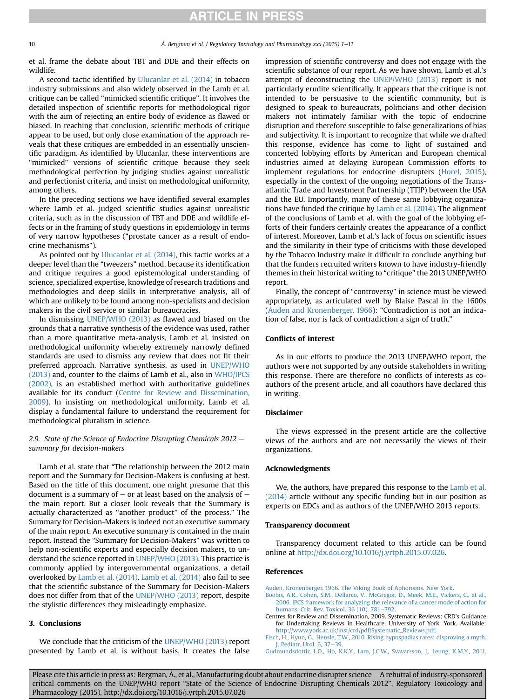<span id="page-9-0"></span>

et al. frame the debate about TBT and DDE and their effects on wildlife.

A second tactic identified by [Ulucanlar et al. \(2014\)](#page-10-0) in tobacco industry submissions and also widely observed in the Lamb et al. critique can be called "mimicked scientific critique". It involves the detailed inspection of scientific reports for methodological rigor with the aim of rejecting an entire body of evidence as flawed or biased. In reaching that conclusion, scientific methods of critique appear to be used, but only close examination of the approach reveals that these critiques are embedded in an essentially unscientific paradigm. As identified by Ulucanlar, these interventions are "mimicked" versions of scientific critique because they seek methodological perfection by judging studies against unrealistic and perfectionist criteria, and insist on methodological uniformity, among others.

In the preceding sections we have identified several examples where Lamb et al. judged scientific studies against unrealistic criteria, such as in the discussion of TBT and DDE and wildlife effects or in the framing of study questions in epidemiology in terms of very narrow hypotheses ("prostate cancer as a result of endocrine mechanisms").

As pointed out by [Ulucanlar et al. \(2014\),](#page-10-0) this tactic works at a deeper level than the "tweezers" method, because its identification and critique requires a good epistemological understanding of science, specialized expertise, knowledge of research traditions and methodologies and deep skills in interpretative analysis, all of which are unlikely to be found among non-specialists and decision makers in the civil service or similar bureaucracies.

In dismissing [UNEP/WHO \(2013\)](#page-10-0) as flawed and biased on the grounds that a narrative synthesis of the evidence was used, rather than a more quantitative meta-analysis, Lamb et al. insisted on methodological uniformity whereby extremely narrowly defined standards are used to dismiss any review that does not fit their preferred approach. Narrative synthesis, as used in [UNEP/WHO](#page-10-0) [\(2013\)](#page-10-0) and, counter to the claims of Lamb et al., also in [WHO/IPCS](#page-10-0) [\(2002\)](#page-10-0), is an established method with authoritative guidelines available for its conduct (Centre for Review and Dissemination, 2009). In insisting on methodological uniformity, Lamb et al. display a fundamental failure to understand the requirement for methodological pluralism in science.

#### 2.9. State of the Science of Endocrine Disrupting Chemicals  $2012$ summary for decision-makers

Lamb et al. state that "The relationship between the 2012 main report and the Summary for Decision-Makers is confusing at best. Based on the title of this document, one might presume that this document is a summary of  $-$  or at least based on the analysis of  $$ the main report. But a closer look reveals that the Summary is actually characterized as ''another product'' of the process." The Summary for Decision-Makers is indeed not an executive summary of the main report. An executive summary is contained in the main report. Instead the "Summary for Decision-Makers" was written to help non-scientific experts and especially decision makers, to understand the science reported in [UNEP/WHO \(2013\)](#page-10-0). This practice is commonly applied by intergovernmental organizations, a detail overlooked by [Lamb et al. \(2014\)](#page-10-0). [Lamb et al. \(2014\)](#page-10-0) also fail to see that the scientific substance of the Summary for Decision-Makers does not differ from that of the [UNEP/WHO \(2013\)](#page-10-0) report, despite the stylistic differences they misleadingly emphasize.

#### 3. Conclusions

We conclude that the criticism of the [UNEP/WHO \(2013\)](#page-10-0) report presented by Lamb et al. is without basis. It creates the false

impression of scientific controversy and does not engage with the scientific substance of our report. As we have shown, Lamb et al.'s attempt of deconstructing the [UNEP/WHO \(2013\)](#page-10-0) report is not particularly erudite scientifically. It appears that the critique is not intended to be persuasive to the scientific community, but is designed to speak to bureaucrats, politicians and other decision makers not intimately familiar with the topic of endocrine disruption and therefore susceptible to false generalizations of bias and subjectivity. It is important to recognize that while we drafted this response, evidence has come to light of sustained and concerted lobbying efforts by American and European chemical industries aimed at delaying European Commission efforts to implement regulations for endocrine disrupters ([Horel, 2015\)](#page-10-0), especially in the context of the ongoing negotiations of the Transatlantic Trade and Investment Partnership (TTIP) between the USA and the EU. Importantly, many of these same lobbying organizations have funded the critique by [Lamb et al. \(2014\).](#page-10-0) The alignment of the conclusions of Lamb et al. with the goal of the lobbying efforts of their funders certainly creates the appearance of a conflict of interest. Moreover, Lamb et al.'s lack of focus on scientific issues and the similarity in their type of criticisms with those developed by the Tobacco Industry make it difficult to conclude anything but that the funders recruited writers known to have industry-friendly themes in their historical writing to "critique" the 2013 UNEP/WHO report.

Finally, the concept of "controversy" in science must be viewed appropriately, as articulated well by Blaise Pascal in the 1600s (Auden and Kronenberger, 1966): "Contradiction is not an indication of false, nor is lack of contradiction a sign of truth."

#### Conflicts of interest

As in our efforts to produce the 2013 UNEP/WHO report, the authors were not supported by any outside stakeholders in writing this response. There are therefore no conflicts of interests as coauthors of the present article, and all coauthors have declared this in writing.

#### Disclaimer

The views expressed in the present article are the collective views of the authors and are not necessarily the views of their organizations.

#### Acknowledgments

We, the authors, have prepared this response to the [Lamb et al.](#page-10-0) [\(2014\)](#page-10-0) article without any specific funding but in our position as experts on EDCs and as authors of the UNEP/WHO 2013 reports.

#### Transparency document

Transparency document related to this article can be found online at [http://dx.doi.org/10.1016/j.yrtph.2015.07.026.](http://dx.doi.org/10.1016/j.yrtph.2015.07.026)

#### References

[Auden, Kronenberger, 1966. The Viking Book of Aphorisms. New York](http://refhub.elsevier.com/S0273-2300(15)30035-0/sref1).

- [Boobis, A.R., Cohen, S.M., Dellarco, V., McGregor, D., Meek, M.E., Vickers, C., et al.,](http://refhub.elsevier.com/S0273-2300(15)30035-0/sref2) [2006. IPCS framework for analyzing the relevance of a cancer mode of action for](http://refhub.elsevier.com/S0273-2300(15)30035-0/sref2) [humans. Crit. Rev. Toxicol. 36 \(10\), 781](http://refhub.elsevier.com/S0273-2300(15)30035-0/sref2)–[792](http://refhub.elsevier.com/S0273-2300(15)30035-0/sref2).
- Centres for Review and Dissemination, 2009. Systematic Reviews: CRD's Guidance for Undertaking Reviews in Healthcare. University of York, York. Available: [http://www.york.ac.uk/inst/crd/pdf/Systematic\\_Reviews.pdf.](http://www.york.ac.uk/inst/crd/pdf/Systematic_Reviews.pdf)
- [Fisch, H., Hyun, G., Hensle, T.W., 2010. Rising hypospadias rates: disproving a myth.](http://refhub.elsevier.com/S0273-2300(15)30035-0/sref4) [J. Pediatr. Urol. 6, 37](http://refhub.elsevier.com/S0273-2300(15)30035-0/sref4)-[39](http://refhub.elsevier.com/S0273-2300(15)30035-0/sref4).

[Gudmundsdottir, L.O., Ho, K.K.Y., Lam, J.C.W., Svavarsson, J., Leung, K.M.Y., 2011.](http://refhub.elsevier.com/S0273-2300(15)30035-0/sref5)